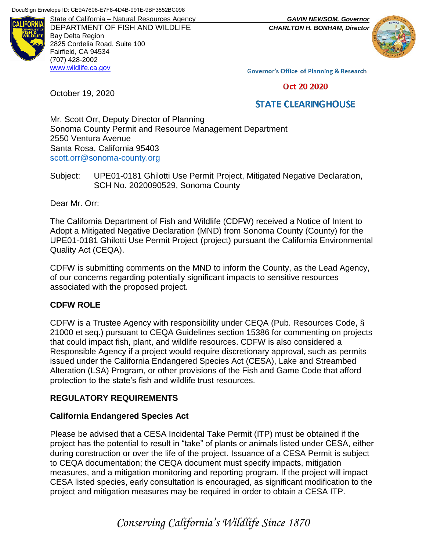

DEPARTMENT OF FISH AND WILDLIFE *CHARLTON H. BONHAM, Director* Bay Delta Region 2825 Cordelia Road, Suite 100 Fairfield, CA 94534 (707) 428-2002 [www.wildlife.ca.gov](http://www.wildlife.ca.gov/)

State of California – Natural Resources Agency *GAVIN NEWSOM, Governor*

**Governor's Office of Planning & Research** 

### Oct 20 2020

# **STATE CLEARINGHOUSE**

Mr. Scott Orr, Deputy Director of Planning Sonoma County Permit and Resource Management Department 2550 Ventura Avenue Santa Rosa, California 95403 [scott.orr@sonoma-county.org](mailto:scott.orr@sonoma-county.org)

Subject: UPE01-0181 Ghilotti Use Permit Project, Mitigated Negative Declaration, SCH No. 2020090529, Sonoma County

Dear Mr. Orr:

October 19, 2020

The California Department of Fish and Wildlife (CDFW) received a Notice of Intent to Adopt a Mitigated Negative Declaration (MND) from Sonoma County (County) for the UPE01-0181 Ghilotti Use Permit Project (project) pursuant the California Environmental Quality Act (CEQA).

CDFW is submitting comments on the MND to inform the County, as the Lead Agency, of our concerns regarding potentially significant impacts to sensitive resources associated with the proposed project.

### **CDFW ROLE**

CDFW is a Trustee Agency with responsibility under CEQA (Pub. Resources Code, § 21000 et seq.) pursuant to CEQA Guidelines section 15386 for commenting on projects that could impact fish, plant, and wildlife resources. CDFW is also considered a Responsible Agency if a project would require discretionary approval, such as permits issued under the California Endangered Species Act (CESA), Lake and Streambed Alteration (LSA) Program, or other provisions of the Fish and Game Code that afford protection to the state's fish and wildlife trust resources.

## **REGULATORY REQUIREMENTS**

### **California Endangered Species Act**

Please be advised that a CESA Incidental Take Permit (ITP) must be obtained if the project has the potential to result in "take" of plants or animals listed under CESA, either during construction or over the life of the project. Issuance of a CESA Permit is subject to CEQA documentation; the CEQA document must specify impacts, mitigation measures, and a mitigation monitoring and reporting program. If the project will impact CESA listed species, early consultation is encouraged, as significant modification to the project and mitigation measures may be required in order to obtain a CESA ITP.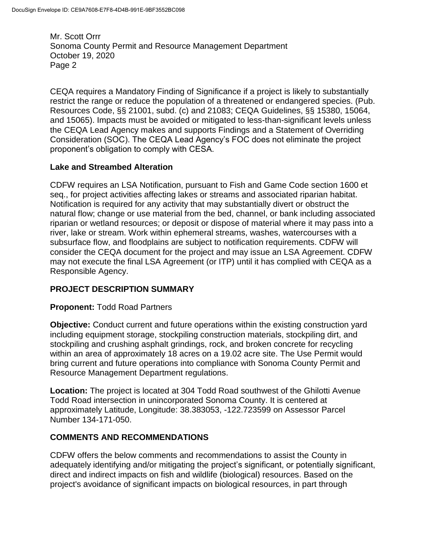CEQA requires a Mandatory Finding of Significance if a project is likely to substantially restrict the range or reduce the population of a threatened or endangered species. (Pub. Resources Code, §§ 21001, subd. (c) and 21083; CEQA Guidelines, §§ 15380, 15064, and 15065). Impacts must be avoided or mitigated to less-than-significant levels unless the CEQA Lead Agency makes and supports Findings and a Statement of Overriding Consideration (SOC). The CEQA Lead Agency's FOC does not eliminate the project proponent's obligation to comply with CESA.

### **Lake and Streambed Alteration**

CDFW requires an LSA Notification, pursuant to Fish and Game Code section 1600 et seq., for project activities affecting lakes or streams and associated riparian habitat. Notification is required for any activity that may substantially divert or obstruct the natural flow; change or use material from the bed, channel, or bank including associated riparian or wetland resources; or deposit or dispose of material where it may pass into a river, lake or stream. Work within ephemeral streams, washes, watercourses with a subsurface flow, and floodplains are subject to notification requirements. CDFW will consider the CEQA document for the project and may issue an LSA Agreement. CDFW may not execute the final LSA Agreement (or ITP) until it has complied with CEQA as a Responsible Agency.

## **PROJECT DESCRIPTION SUMMARY**

### **Proponent:** Todd Road Partners

**Objective:** Conduct current and future operations within the existing construction yard including equipment storage, stockpiling construction materials, stockpiling dirt, and stockpiling and crushing asphalt grindings, rock, and broken concrete for recycling within an area of approximately 18 acres on a 19.02 acre site. The Use Permit would bring current and future operations into compliance with Sonoma County Permit and Resource Management Department regulations.

**Location:** The project is located at 304 Todd Road southwest of the Ghilotti Avenue Todd Road intersection in unincorporated Sonoma County. It is centered at approximately Latitude, Longitude: 38.383053, -122.723599 on Assessor Parcel Number 134-171-050.

### **COMMENTS AND RECOMMENDATIONS**

CDFW offers the below comments and recommendations to assist the County in adequately identifying and/or mitigating the project's significant, or potentially significant, direct and indirect impacts on fish and wildlife (biological) resources. Based on the project's avoidance of significant impacts on biological resources, in part through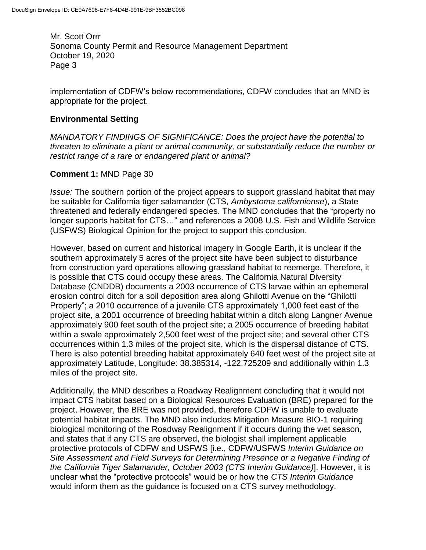implementation of CDFW's below recommendations, CDFW concludes that an MND is appropriate for the project.

#### **Environmental Setting**

*MANDATORY FINDINGS OF SIGNIFICANCE: Does the project have the potential to threaten to eliminate a plant or animal community, or substantially reduce the number or restrict range of a rare or endangered plant or animal?*

#### **Comment 1:** MND Page 30

*Issue:* The southern portion of the project appears to support grassland habitat that may be suitable for California tiger salamander (CTS, *Ambystoma californiense*), a State threatened and federally endangered species. The MND concludes that the "property no longer supports habitat for CTS…" and references a 2008 U.S. Fish and Wildlife Service (USFWS) Biological Opinion for the project to support this conclusion.

However, based on current and historical imagery in Google Earth, it is unclear if the southern approximately 5 acres of the project site have been subject to disturbance from construction yard operations allowing grassland habitat to reemerge. Therefore, it is possible that CTS could occupy these areas. The California Natural Diversity Database (CNDDB) documents a 2003 occurrence of CTS larvae within an ephemeral erosion control ditch for a soil deposition area along Ghilotti Avenue on the "Ghilotti Property"; a 2010 occurrence of a juvenile CTS approximately 1,000 feet east of the project site, a 2001 occurrence of breeding habitat within a ditch along Langner Avenue approximately 900 feet south of the project site; a 2005 occurrence of breeding habitat within a swale approximately 2,500 feet west of the project site; and several other CTS occurrences within 1.3 miles of the project site, which is the dispersal distance of CTS. There is also potential breeding habitat approximately 640 feet west of the project site at approximately Latitude, Longitude: 38.385314, -122.725209 and additionally within 1.3 miles of the project site.

Additionally, the MND describes a Roadway Realignment concluding that it would not impact CTS habitat based on a Biological Resources Evaluation (BRE) prepared for the project. However, the BRE was not provided, therefore CDFW is unable to evaluate potential habitat impacts. The MND also includes Mitigation Measure BIO-1 requiring biological monitoring of the Roadway Realignment if it occurs during the wet season, and states that if any CTS are observed, the biologist shall implement applicable protective protocols of CDFW and USFWS [i.e., CDFW/USFWS *Interim Guidance on Site Assessment and Field Surveys for Determining Presence or a Negative Finding of the California Tiger Salamander, October 2003 (CTS Interim Guidance)*]. However, it is unclear what the "protective protocols" would be or how the *CTS Interim Guidance*  would inform them as the guidance is focused on a CTS survey methodology.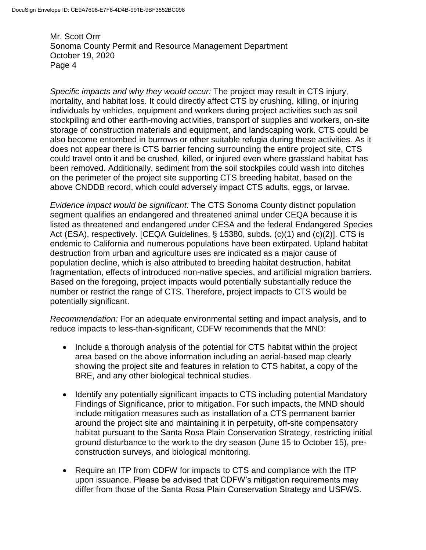*Specific impacts and why they would occur:* The project may result in CTS injury, mortality, and habitat loss. It could directly affect CTS by crushing, killing, or injuring individuals by vehicles, equipment and workers during project activities such as soil stockpiling and other earth-moving activities, transport of supplies and workers, on-site storage of construction materials and equipment, and landscaping work. CTS could be also become entombed in burrows or other suitable refugia during these activities. As it does not appear there is CTS barrier fencing surrounding the entire project site, CTS could travel onto it and be crushed, killed, or injured even where grassland habitat has been removed. Additionally, sediment from the soil stockpiles could wash into ditches on the perimeter of the project site supporting CTS breeding habitat, based on the above CNDDB record, which could adversely impact CTS adults, eggs, or larvae.

*Evidence impact would be significant:* The CTS Sonoma County distinct population segment qualifies an endangered and threatened animal under CEQA because it is listed as threatened and endangered under CESA and the federal Endangered Species Act (ESA), respectively. [CEQA Guidelines, § 15380, subds. (c)(1) and (c)(2)]. CTS is endemic to California and numerous populations have been extirpated. Upland habitat destruction from urban and agriculture uses are indicated as a major cause of population decline, which is also attributed to breeding habitat destruction, habitat fragmentation, effects of introduced non-native species, and artificial migration barriers. Based on the foregoing, project impacts would potentially substantially reduce the number or restrict the range of CTS. Therefore, project impacts to CTS would be potentially significant.

*Recommendation:* For an adequate environmental setting and impact analysis, and to reduce impacts to less-than-significant, CDFW recommends that the MND:

- Include a thorough analysis of the potential for CTS habitat within the project area based on the above information including an aerial-based map clearly showing the project site and features in relation to CTS habitat, a copy of the BRE, and any other biological technical studies.
- Identify any potentially significant impacts to CTS including potential Mandatory Findings of Significance, prior to mitigation. For such impacts, the MND should include mitigation measures such as installation of a CTS permanent barrier around the project site and maintaining it in perpetuity, off-site compensatory habitat pursuant to the Santa Rosa Plain Conservation Strategy, restricting initial ground disturbance to the work to the dry season (June 15 to October 15), preconstruction surveys, and biological monitoring.
- Require an ITP from CDFW for impacts to CTS and compliance with the ITP upon issuance. Please be advised that CDFW's mitigation requirements may differ from those of the Santa Rosa Plain Conservation Strategy and USFWS.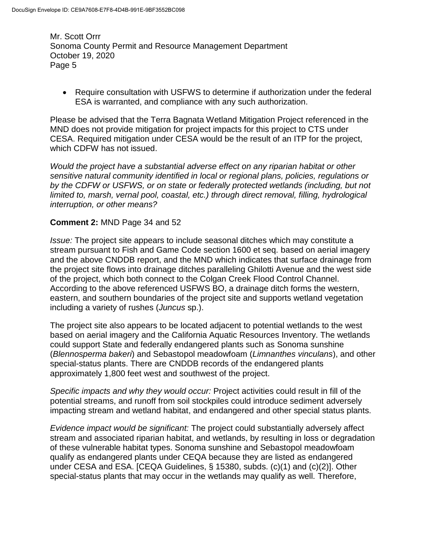Require consultation with USFWS to determine if authorization under the federal ESA is warranted, and compliance with any such authorization.

Please be advised that the Terra Bagnata Wetland Mitigation Project referenced in the MND does not provide mitigation for project impacts for this project to CTS under CESA. Required mitigation under CESA would be the result of an ITP for the project, which CDFW has not issued.

*Would the project have a substantial adverse effect on any riparian habitat or other sensitive natural community identified in local or regional plans, policies, regulations or by the CDFW or USFWS, or on state or federally protected wetlands (including, but not limited to, marsh, vernal pool, coastal, etc.) through direct removal, filling, hydrological interruption, or other means?*

#### **Comment 2:** MND Page 34 and 52

*Issue:* The project site appears to include seasonal ditches which may constitute a stream pursuant to Fish and Game Code section 1600 et seq. based on aerial imagery and the above CNDDB report, and the MND which indicates that surface drainage from the project site flows into drainage ditches paralleling Ghilotti Avenue and the west side of the project, which both connect to the Colgan Creek Flood Control Channel. According to the above referenced USFWS BO, a drainage ditch forms the western, eastern, and southern boundaries of the project site and supports wetland vegetation including a variety of rushes (*Juncus* sp.).

The project site also appears to be located adjacent to potential wetlands to the west based on aerial imagery and the California Aquatic Resources Inventory. The wetlands could support State and federally endangered plants such as Sonoma sunshine (*Blennosperma bakeri*) and Sebastopol meadowfoam (*Limnanthes vinculans*), and other special-status plants. There are CNDDB records of the endangered plants approximately 1,800 feet west and southwest of the project.

*Specific impacts and why they would occur:* Project activities could result in fill of the potential streams, and runoff from soil stockpiles could introduce sediment adversely impacting stream and wetland habitat, and endangered and other special status plants.

*Evidence impact would be significant:* The project could substantially adversely affect stream and associated riparian habitat, and wetlands, by resulting in loss or degradation of these vulnerable habitat types. Sonoma sunshine and Sebastopol meadowfoam qualify as endangered plants under CEQA because they are listed as endangered under CESA and ESA. [CEQA Guidelines, § 15380, subds. (c)(1) and (c)(2)]. Other special-status plants that may occur in the wetlands may qualify as well. Therefore,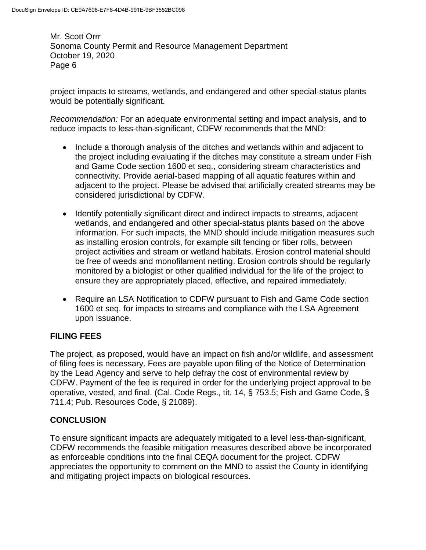project impacts to streams, wetlands, and endangered and other special-status plants would be potentially significant.

*Recommendation:* For an adequate environmental setting and impact analysis, and to reduce impacts to less-than-significant, CDFW recommends that the MND:

- Include a thorough analysis of the ditches and wetlands within and adjacent to the project including evaluating if the ditches may constitute a stream under Fish and Game Code section 1600 et seq., considering stream characteristics and connectivity. Provide aerial-based mapping of all aquatic features within and adjacent to the project. Please be advised that artificially created streams may be considered jurisdictional by CDFW.
- Identify potentially significant direct and indirect impacts to streams, adjacent wetlands, and endangered and other special-status plants based on the above information. For such impacts, the MND should include mitigation measures such as installing erosion controls, for example silt fencing or fiber rolls, between project activities and stream or wetland habitats. Erosion control material should be free of weeds and monofilament netting. Erosion controls should be regularly monitored by a biologist or other qualified individual for the life of the project to ensure they are appropriately placed, effective, and repaired immediately.
- Require an LSA Notification to CDFW pursuant to Fish and Game Code section 1600 et seq. for impacts to streams and compliance with the LSA Agreement upon issuance.

## **FILING FEES**

The project, as proposed, would have an impact on fish and/or wildlife, and assessment of filing fees is necessary. Fees are payable upon filing of the Notice of Determination by the Lead Agency and serve to help defray the cost of environmental review by CDFW. Payment of the fee is required in order for the underlying project approval to be operative, vested, and final. (Cal. Code Regs., tit. 14, § 753.5; Fish and Game Code, § 711.4; Pub. Resources Code, § 21089).

## **CONCLUSION**

To ensure significant impacts are adequately mitigated to a level less-than-significant, CDFW recommends the feasible mitigation measures described above be incorporated as enforceable conditions into the final CEQA document for the project. CDFW appreciates the opportunity to comment on the MND to assist the County in identifying and mitigating project impacts on biological resources.